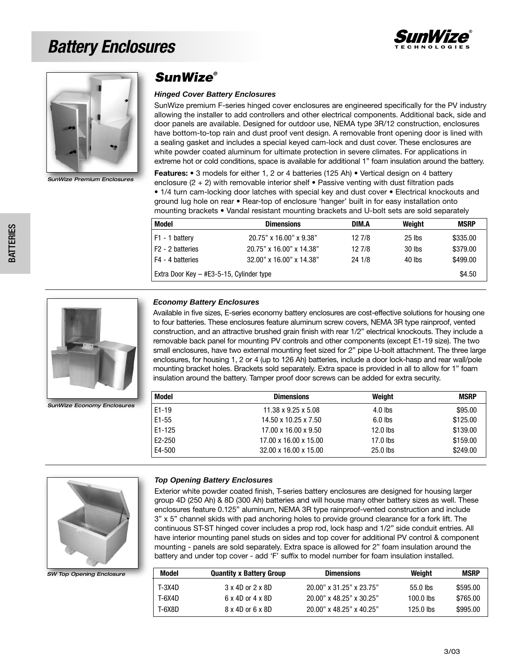## *Battery Enclosures*





**SunWize Premium Enclosure** 

### *SunWize®*

#### **Hinged Cover Battery Enclosures**

SunWize premium F-series hinged cover enclosures are engineered specifically for the PV industry allowing the installer to add controllers and other electrical components. Additional back, side and door panels are available. Designed for outdoor use, NEMA type 3R/12 construction, enclosures have bottom-to-top rain and dust proof vent design. A removable front opening door is lined with a sealing gasket and includes a special keyed cam-lock and dust cover. These enclosures are white powder coated aluminum for ultimate protection in severe climates. For applications in extreme hot or cold conditions, space is available for additional 1" foam insulation around the battery.

**Features:** • 3 models for either 1, 2 or 4 batteries (125 Ah) • Vertical design on 4 battery enclosure  $(2 + 2)$  with removable interior shelf • Passive venting with dust filtration pads • 1/4 turn cam-locking door latches with special key and dust cover • Electrical knockouts and ground lug hole on rear • Rear-top of enclosure 'hanger' built in for easy installation onto mounting brackets • Vandal resistant mounting brackets and U-bolt sets are sold separately

| Model                                    | <b>Dimensions</b>        | DIM.A  | Weight   | <b>MSRP</b> |
|------------------------------------------|--------------------------|--------|----------|-------------|
| F1 - 1 battery                           | 20.75" x 16.00" x 9.38"  | 12 7/8 | $25$ lbs | \$335.00    |
| F <sub>2</sub> - 2 batteries             | 20.75" x 16.00" x 14.38" | 12 7/8 | $30$ lbs | \$379.00    |
| F4 - 4 batteries                         | 32.00" x 16.00" x 14.38" | 24 1/8 | 40 lbs   | \$499.00    |
| Extra Door Key - #E3-5-15, Cylinder type |                          |        | \$4.50   |             |

#### **Economy Battery Enclosures**

Available in five sizes, E-series economy battery enclosures are cost-effective solutions for housing one to four batteries. These enclosures feature aluminum screw covers, NEMA 3R type rainproof, vented construction, and an attractive brushed grain finish with rear 1/2" electrical knockouts. They include a removable back panel for mounting PV controls and other components (except E1-19 size). The two small enclosures, have two external mounting feet sized for 2" pipe U-bolt attachment. The three large enclosures, for housing 1, 2 or 4 (up to 126 Ah) batteries, include a door lock-hasp and rear wall/pole mounting bracket holes. Brackets sold separately. Extra space is provided in all to allow for 1" foam insulation around the battery. Tamper proof door screws can be added for extra security.

| Model      | <b>Dimensions</b>     | Weight     | <b>MSRP</b> |
|------------|-----------------------|------------|-------------|
| $E1 - 19$  | 11.38 x 9.25 x 5.08   | $4.0$ lbs  | \$95.00     |
| $E1 - 55$  | 14.50 x 10.25 x 7.50  | $6.0$ lbs  | \$125.00    |
| $E1 - 125$ | 17.00 x 16.00 x 9.50  | $12.0$ lbs | \$139.00    |
| E2-250     | 17.00 x 16.00 x 15.00 | $17.0$ lbs | \$159.00    |
| E4-500     | 32.00 x 16.00 x 15.00 | 25.0 lbs   | \$249.00    |



*SunWize Economy Enclosures*

*SW Top Opening Enclosure* 

#### **Top Opening Battery Enclosures**

Exterior white powder coated finish, T-series battery enclosures are designed for housing larger group 4D (250 Ah) & 8D (300 Ah) batteries and will house many other battery sizes as well. These enclosures feature 0.125" aluminum, NEMA 3R type rainproof-vented construction and include 3" x 5" channel skids with pad anchoring holes to provide ground clearance for a fork lift. The continuous ST-ST hinged cover includes a prop rod, lock hasp and 1/2" side conduit entries. All have interior mounting panel studs on sides and top cover for additional PV control & component mounting - panels are sold separately. Extra space is allowed for 2" foam insulation around the battery and under top cover - add 'F' suffix to model number for foam insulation installed.

| Model  | <b>Quantity x Battery Group</b> | <b>Dimensions</b>        | Weight      | <b>MSRP</b> |
|--------|---------------------------------|--------------------------|-------------|-------------|
| T-3X4D | 3 x 4D or 2 x 8D                | 20.00" x 31.25" x 23.75" | $55.0$ lbs  | \$595.00    |
| T-6X4D | 6 x 4D or 4 x 8D                | 20.00" x 48.25" x 30.25" | $100.0$ lbs | \$765.00    |
| T-6X8D | 8 x 4D or 6 x 8D                | 20.00" x 48.25" x 40.25" | 125.0 lbs   | \$995.00    |